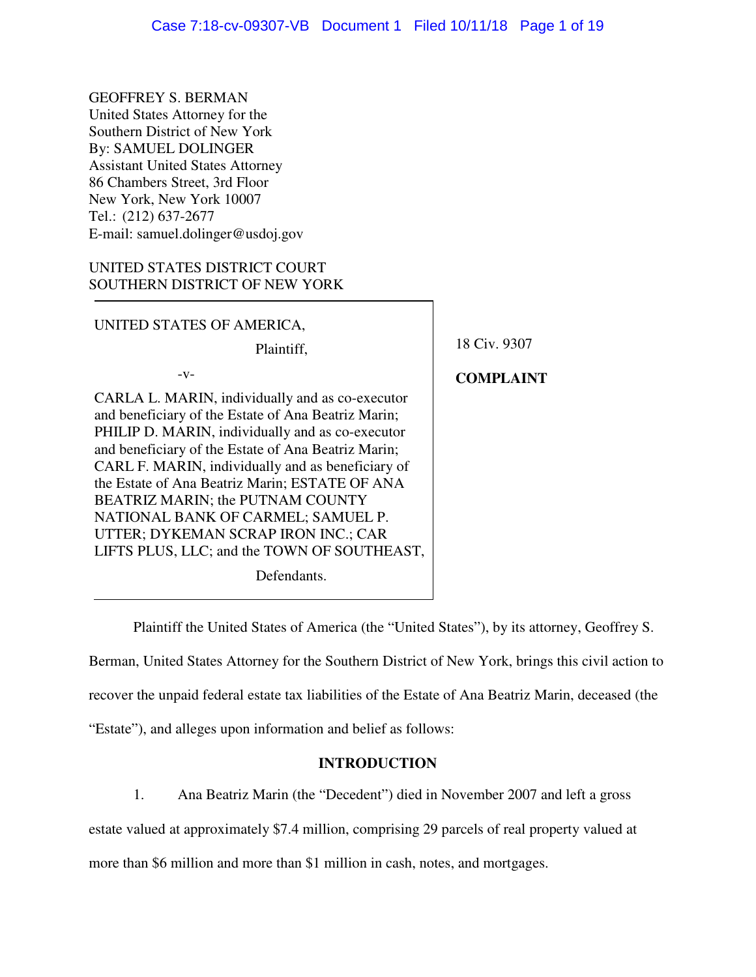GEOFFREY S. BERMAN United States Attorney for the Southern District of New York By: SAMUEL DOLINGER Assistant United States Attorney 86 Chambers Street, 3rd Floor New York, New York 10007 Tel.: (212) 637-2677 E-mail: samuel.dolinger@usdoj.gov

# UNITED STATES DISTRICT COURT SOUTHERN DISTRICT OF NEW YORK

UNITED STATES OF AMERICA,

Plaintiff,

-v-

CARLA L. MARIN, individually and as co-executor and beneficiary of the Estate of Ana Beatriz Marin; PHILIP D. MARIN, individually and as co-executor and beneficiary of the Estate of Ana Beatriz Marin; CARL F. MARIN, individually and as beneficiary of the Estate of Ana Beatriz Marin; ESTATE OF ANA BEATRIZ MARIN; the PUTNAM COUNTY NATIONAL BANK OF CARMEL; SAMUEL P. UTTER; DYKEMAN SCRAP IRON INC.; CAR LIFTS PLUS, LLC; and the TOWN OF SOUTHEAST,

Defendants.

18 Civ. 9307

**COMPLAINT** 

Plaintiff the United States of America (the "United States"), by its attorney, Geoffrey S.

Berman, United States Attorney for the Southern District of New York, brings this civil action to recover the unpaid federal estate tax liabilities of the Estate of Ana Beatriz Marin, deceased (the "Estate"), and alleges upon information and belief as follows:

## **INTRODUCTION**

1. Ana Beatriz Marin (the "Decedent") died in November 2007 and left a gross estate valued at approximately \$7.4 million, comprising 29 parcels of real property valued at more than \$6 million and more than \$1 million in cash, notes, and mortgages.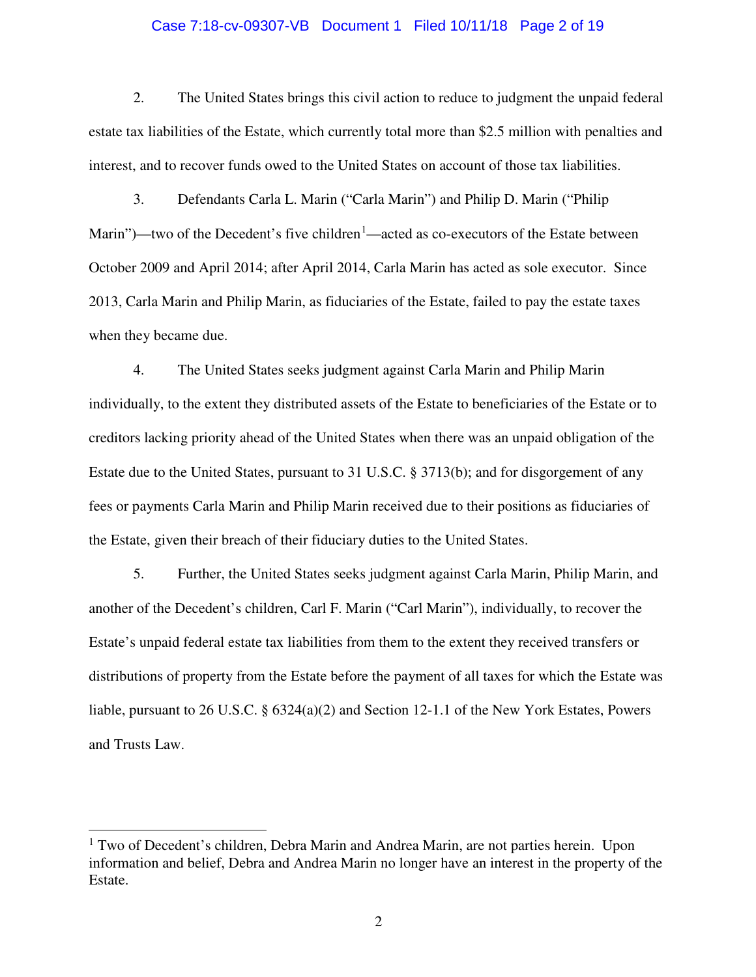## Case 7:18-cv-09307-VB Document 1 Filed 10/11/18 Page 2 of 19

2. The United States brings this civil action to reduce to judgment the unpaid federal estate tax liabilities of the Estate, which currently total more than \$2.5 million with penalties and interest, and to recover funds owed to the United States on account of those tax liabilities.

3. Defendants Carla L. Marin ("Carla Marin") and Philip D. Marin ("Philip Marin")—two of the Decedent's five children<sup>[1](#page-1-0)</sup>—acted as co-executors of the Estate between October 2009 and April 2014; after April 2014, Carla Marin has acted as sole executor. Since 2013, Carla Marin and Philip Marin, as fiduciaries of the Estate, failed to pay the estate taxes when they became due.

4. The United States seeks judgment against Carla Marin and Philip Marin individually, to the extent they distributed assets of the Estate to beneficiaries of the Estate or to creditors lacking priority ahead of the United States when there was an unpaid obligation of the Estate due to the United States, pursuant to 31 U.S.C. § 3713(b); and for disgorgement of any fees or payments Carla Marin and Philip Marin received due to their positions as fiduciaries of the Estate, given their breach of their fiduciary duties to the United States.

5. Further, the United States seeks judgment against Carla Marin, Philip Marin, and another of the Decedent's children, Carl F. Marin ("Carl Marin"), individually, to recover the Estate's unpaid federal estate tax liabilities from them to the extent they received transfers or distributions of property from the Estate before the payment of all taxes for which the Estate was liable, pursuant to 26 U.S.C. § 6324(a)(2) and Section 12-1.1 of the New York Estates, Powers and Trusts Law.

-

<span id="page-1-0"></span><sup>&</sup>lt;sup>1</sup> Two of Decedent's children, Debra Marin and Andrea Marin, are not parties herein. Upon information and belief, Debra and Andrea Marin no longer have an interest in the property of the Estate.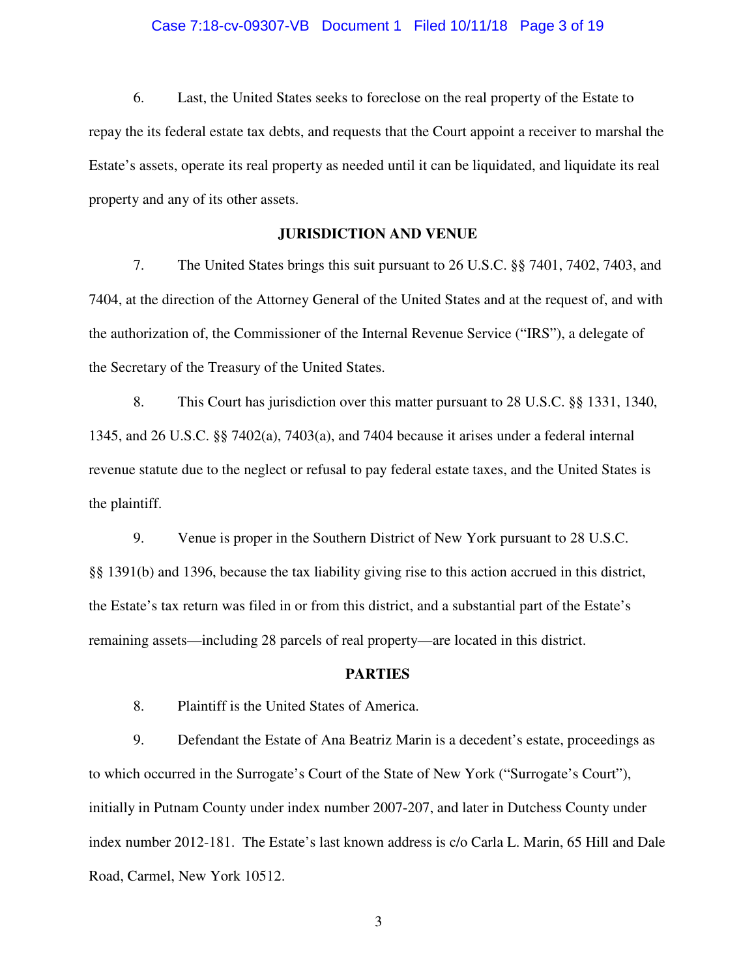## Case 7:18-cv-09307-VB Document 1 Filed 10/11/18 Page 3 of 19

6. Last, the United States seeks to foreclose on the real property of the Estate to repay the its federal estate tax debts, and requests that the Court appoint a receiver to marshal the Estate's assets, operate its real property as needed until it can be liquidated, and liquidate its real property and any of its other assets.

## **JURISDICTION AND VENUE**

7. The United States brings this suit pursuant to 26 U.S.C. §§ 7401, 7402, 7403, and 7404, at the direction of the Attorney General of the United States and at the request of, and with the authorization of, the Commissioner of the Internal Revenue Service ("IRS"), a delegate of the Secretary of the Treasury of the United States.

8. This Court has jurisdiction over this matter pursuant to 28 U.S.C. §§ 1331, 1340, 1345, and 26 U.S.C. §§ 7402(a), 7403(a), and 7404 because it arises under a federal internal revenue statute due to the neglect or refusal to pay federal estate taxes, and the United States is the plaintiff.

9. Venue is proper in the Southern District of New York pursuant to 28 U.S.C. §§ 1391(b) and 1396, because the tax liability giving rise to this action accrued in this district, the Estate's tax return was filed in or from this district, and a substantial part of the Estate's remaining assets—including 28 parcels of real property—are located in this district.

## **PARTIES**

8. Plaintiff is the United States of America.

9. Defendant the Estate of Ana Beatriz Marin is a decedent's estate, proceedings as to which occurred in the Surrogate's Court of the State of New York ("Surrogate's Court"), initially in Putnam County under index number 2007-207, and later in Dutchess County under index number 2012-181. The Estate's last known address is c/o Carla L. Marin, 65 Hill and Dale Road, Carmel, New York 10512.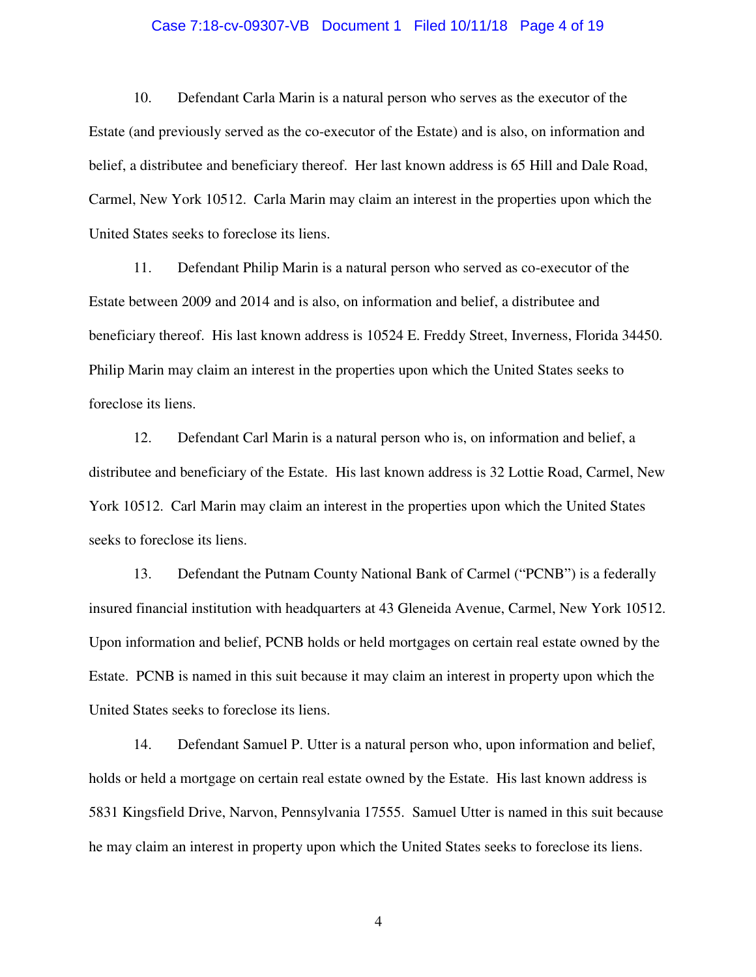## Case 7:18-cv-09307-VB Document 1 Filed 10/11/18 Page 4 of 19

10. Defendant Carla Marin is a natural person who serves as the executor of the Estate (and previously served as the co-executor of the Estate) and is also, on information and belief, a distributee and beneficiary thereof. Her last known address is 65 Hill and Dale Road, Carmel, New York 10512. Carla Marin may claim an interest in the properties upon which the United States seeks to foreclose its liens.

11. Defendant Philip Marin is a natural person who served as co-executor of the Estate between 2009 and 2014 and is also, on information and belief, a distributee and beneficiary thereof. His last known address is 10524 E. Freddy Street, Inverness, Florida 34450. Philip Marin may claim an interest in the properties upon which the United States seeks to foreclose its liens.

12. Defendant Carl Marin is a natural person who is, on information and belief, a distributee and beneficiary of the Estate. His last known address is 32 Lottie Road, Carmel, New York 10512. Carl Marin may claim an interest in the properties upon which the United States seeks to foreclose its liens.

13. Defendant the Putnam County National Bank of Carmel ("PCNB") is a federally insured financial institution with headquarters at 43 Gleneida Avenue, Carmel, New York 10512. Upon information and belief, PCNB holds or held mortgages on certain real estate owned by the Estate. PCNB is named in this suit because it may claim an interest in property upon which the United States seeks to foreclose its liens.

14. Defendant Samuel P. Utter is a natural person who, upon information and belief, holds or held a mortgage on certain real estate owned by the Estate. His last known address is 5831 Kingsfield Drive, Narvon, Pennsylvania 17555. Samuel Utter is named in this suit because he may claim an interest in property upon which the United States seeks to foreclose its liens.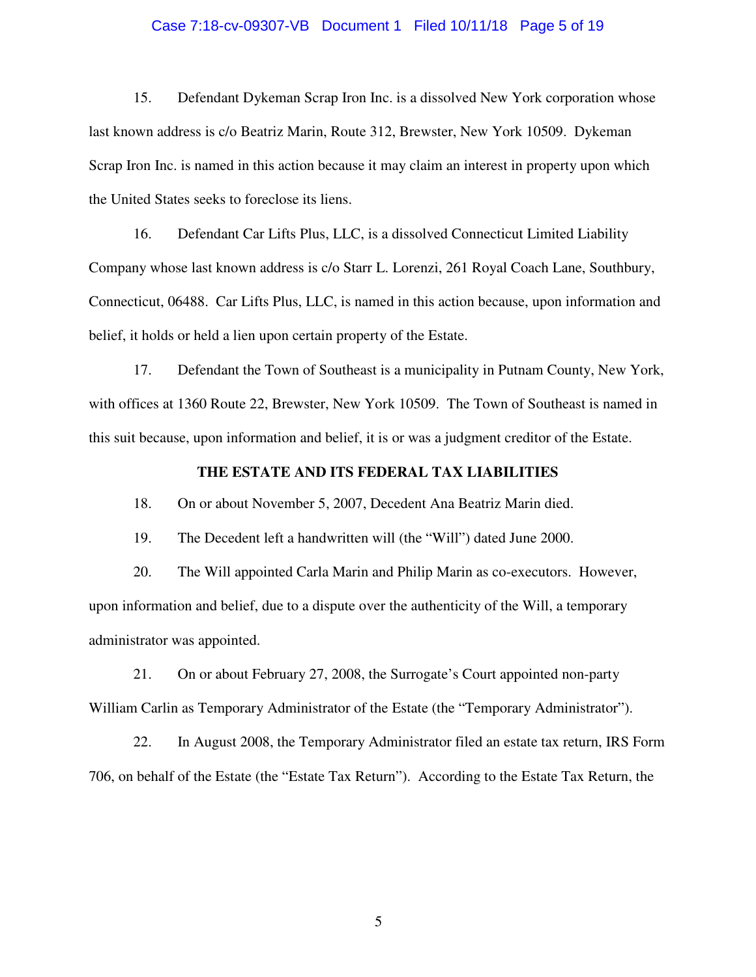## Case 7:18-cv-09307-VB Document 1 Filed 10/11/18 Page 5 of 19

15. Defendant Dykeman Scrap Iron Inc. is a dissolved New York corporation whose last known address is c/o Beatriz Marin, Route 312, Brewster, New York 10509. Dykeman Scrap Iron Inc. is named in this action because it may claim an interest in property upon which the United States seeks to foreclose its liens.

16. Defendant Car Lifts Plus, LLC, is a dissolved Connecticut Limited Liability Company whose last known address is c/o Starr L. Lorenzi, 261 Royal Coach Lane, Southbury, Connecticut, 06488. Car Lifts Plus, LLC, is named in this action because, upon information and belief, it holds or held a lien upon certain property of the Estate.

17. Defendant the Town of Southeast is a municipality in Putnam County, New York, with offices at 1360 Route 22, Brewster, New York 10509. The Town of Southeast is named in this suit because, upon information and belief, it is or was a judgment creditor of the Estate.

## **THE ESTATE AND ITS FEDERAL TAX LIABILITIES**

18. On or about November 5, 2007, Decedent Ana Beatriz Marin died.

19. The Decedent left a handwritten will (the "Will") dated June 2000.

20. The Will appointed Carla Marin and Philip Marin as co-executors. However, upon information and belief, due to a dispute over the authenticity of the Will, a temporary administrator was appointed.

21. On or about February 27, 2008, the Surrogate's Court appointed non-party William Carlin as Temporary Administrator of the Estate (the "Temporary Administrator").

22. In August 2008, the Temporary Administrator filed an estate tax return, IRS Form 706, on behalf of the Estate (the "Estate Tax Return"). According to the Estate Tax Return, the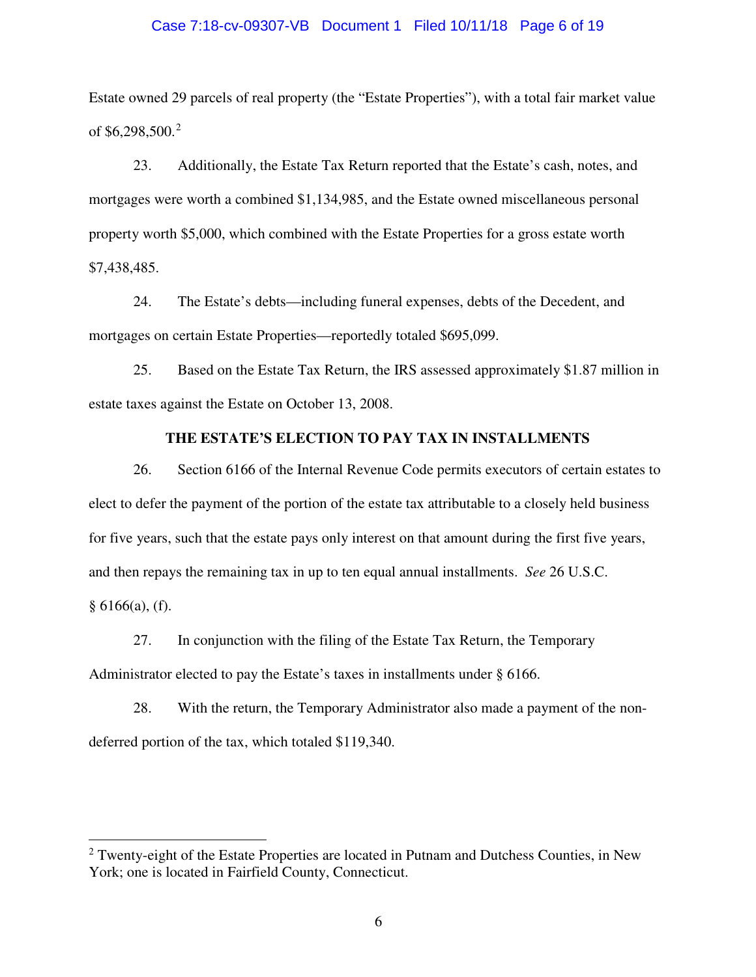## Case 7:18-cv-09307-VB Document 1 Filed 10/11/18 Page 6 of 19

Estate owned 29 parcels of real property (the "Estate Properties"), with a total fair market value of \$6,[2](#page-5-0)98,500.<sup>2</sup>

23. Additionally, the Estate Tax Return reported that the Estate's cash, notes, and mortgages were worth a combined \$1,134,985, and the Estate owned miscellaneous personal property worth \$5,000, which combined with the Estate Properties for a gross estate worth \$7,438,485.

24. The Estate's debts—including funeral expenses, debts of the Decedent, and mortgages on certain Estate Properties—reportedly totaled \$695,099.

25. Based on the Estate Tax Return, the IRS assessed approximately \$1.87 million in estate taxes against the Estate on October 13, 2008.

## **THE ESTATE'S ELECTION TO PAY TAX IN INSTALLMENTS**

26. Section 6166 of the Internal Revenue Code permits executors of certain estates to elect to defer the payment of the portion of the estate tax attributable to a closely held business for five years, such that the estate pays only interest on that amount during the first five years, and then repays the remaining tax in up to ten equal annual installments. *See* 26 U.S.C.  $§ 6166(a), (f).$ 

27. In conjunction with the filing of the Estate Tax Return, the Temporary Administrator elected to pay the Estate's taxes in installments under § 6166.

28. With the return, the Temporary Administrator also made a payment of the nondeferred portion of the tax, which totaled \$119,340.

 $\overline{a}$ 

<span id="page-5-0"></span> $2$  Twenty-eight of the Estate Properties are located in Putnam and Dutchess Counties, in New York; one is located in Fairfield County, Connecticut.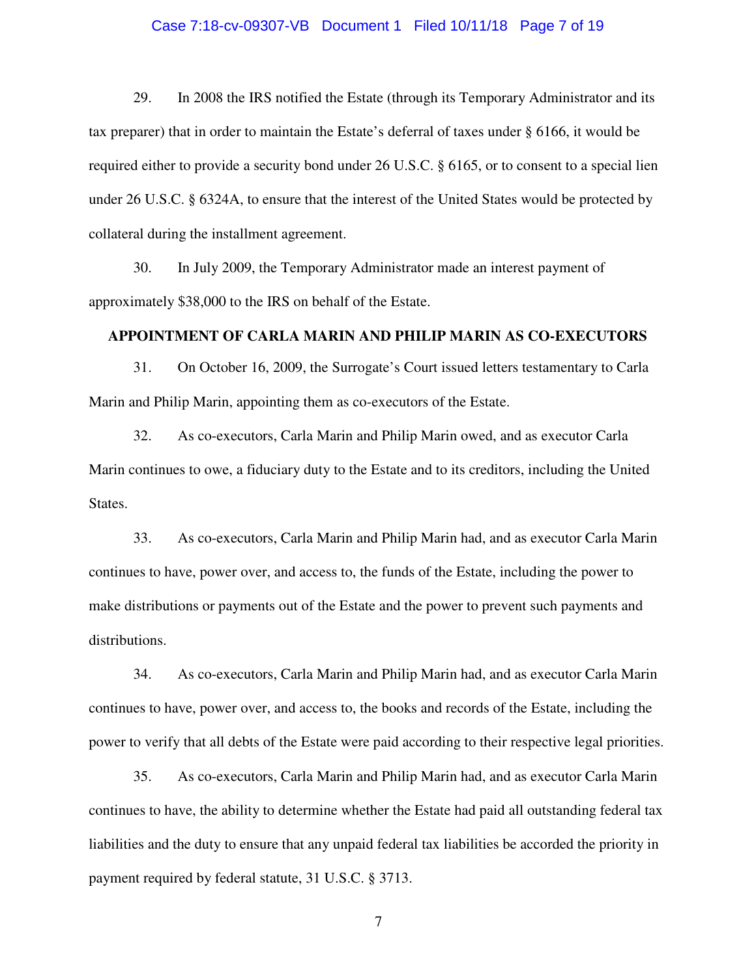## Case 7:18-cv-09307-VB Document 1 Filed 10/11/18 Page 7 of 19

29. In 2008 the IRS notified the Estate (through its Temporary Administrator and its tax preparer) that in order to maintain the Estate's deferral of taxes under § 6166, it would be required either to provide a security bond under 26 U.S.C. § 6165, or to consent to a special lien under 26 U.S.C. § 6324A, to ensure that the interest of the United States would be protected by collateral during the installment agreement.

30. In July 2009, the Temporary Administrator made an interest payment of approximately \$38,000 to the IRS on behalf of the Estate.

## **APPOINTMENT OF CARLA MARIN AND PHILIP MARIN AS CO-EXECUTORS**

31. On October 16, 2009, the Surrogate's Court issued letters testamentary to Carla Marin and Philip Marin, appointing them as co-executors of the Estate.

32. As co-executors, Carla Marin and Philip Marin owed, and as executor Carla Marin continues to owe, a fiduciary duty to the Estate and to its creditors, including the United States.

33. As co-executors, Carla Marin and Philip Marin had, and as executor Carla Marin continues to have, power over, and access to, the funds of the Estate, including the power to make distributions or payments out of the Estate and the power to prevent such payments and distributions.

34. As co-executors, Carla Marin and Philip Marin had, and as executor Carla Marin continues to have, power over, and access to, the books and records of the Estate, including the power to verify that all debts of the Estate were paid according to their respective legal priorities.

35. As co-executors, Carla Marin and Philip Marin had, and as executor Carla Marin continues to have, the ability to determine whether the Estate had paid all outstanding federal tax liabilities and the duty to ensure that any unpaid federal tax liabilities be accorded the priority in payment required by federal statute, 31 U.S.C. § 3713.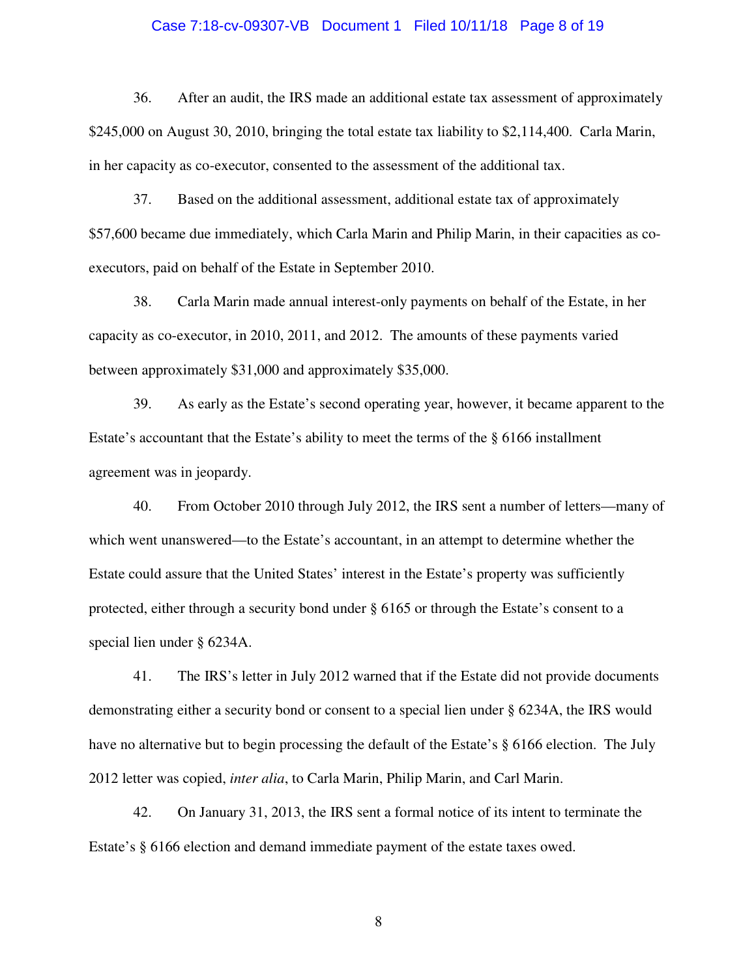## Case 7:18-cv-09307-VB Document 1 Filed 10/11/18 Page 8 of 19

36. After an audit, the IRS made an additional estate tax assessment of approximately \$245,000 on August 30, 2010, bringing the total estate tax liability to \$2,114,400. Carla Marin, in her capacity as co-executor, consented to the assessment of the additional tax.

37. Based on the additional assessment, additional estate tax of approximately \$57,600 became due immediately, which Carla Marin and Philip Marin, in their capacities as coexecutors, paid on behalf of the Estate in September 2010.

38. Carla Marin made annual interest-only payments on behalf of the Estate, in her capacity as co-executor, in 2010, 2011, and 2012. The amounts of these payments varied between approximately \$31,000 and approximately \$35,000.

39. As early as the Estate's second operating year, however, it became apparent to the Estate's accountant that the Estate's ability to meet the terms of the § 6166 installment agreement was in jeopardy.

40. From October 2010 through July 2012, the IRS sent a number of letters—many of which went unanswered—to the Estate's accountant, in an attempt to determine whether the Estate could assure that the United States' interest in the Estate's property was sufficiently protected, either through a security bond under § 6165 or through the Estate's consent to a special lien under § 6234A.

41. The IRS's letter in July 2012 warned that if the Estate did not provide documents demonstrating either a security bond or consent to a special lien under § 6234A, the IRS would have no alternative but to begin processing the default of the Estate's § 6166 election. The July 2012 letter was copied, *inter alia*, to Carla Marin, Philip Marin, and Carl Marin.

42. On January 31, 2013, the IRS sent a formal notice of its intent to terminate the Estate's § 6166 election and demand immediate payment of the estate taxes owed.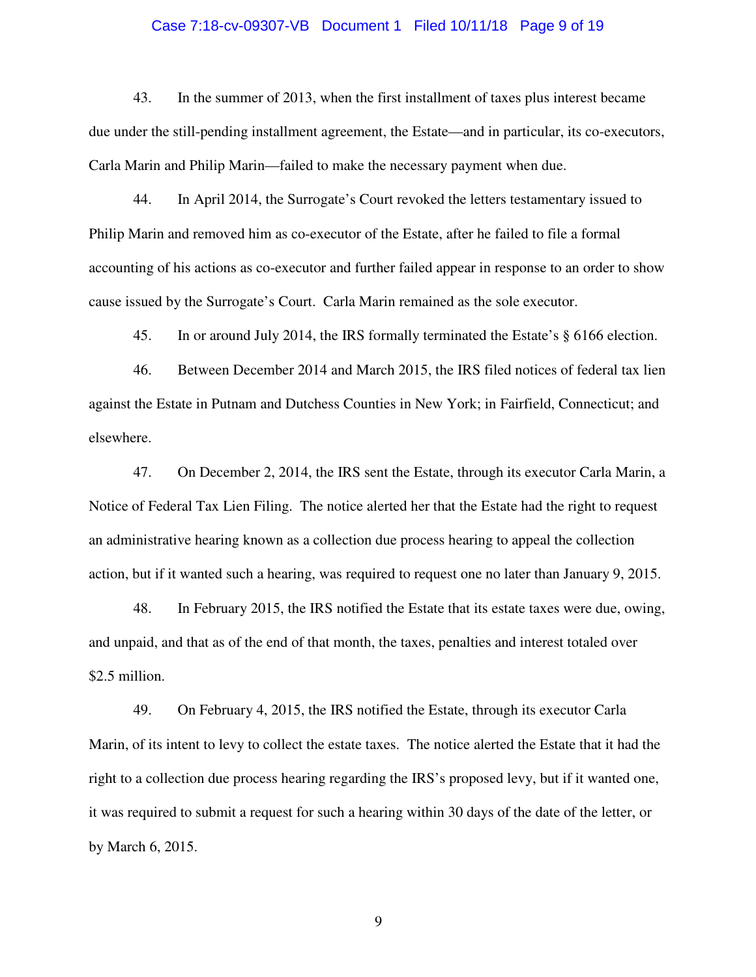## Case 7:18-cv-09307-VB Document 1 Filed 10/11/18 Page 9 of 19

43. In the summer of 2013, when the first installment of taxes plus interest became due under the still-pending installment agreement, the Estate—and in particular, its co-executors, Carla Marin and Philip Marin—failed to make the necessary payment when due.

44. In April 2014, the Surrogate's Court revoked the letters testamentary issued to Philip Marin and removed him as co-executor of the Estate, after he failed to file a formal accounting of his actions as co-executor and further failed appear in response to an order to show cause issued by the Surrogate's Court. Carla Marin remained as the sole executor.

45. In or around July 2014, the IRS formally terminated the Estate's § 6166 election.

46. Between December 2014 and March 2015, the IRS filed notices of federal tax lien against the Estate in Putnam and Dutchess Counties in New York; in Fairfield, Connecticut; and elsewhere.

47. On December 2, 2014, the IRS sent the Estate, through its executor Carla Marin, a Notice of Federal Tax Lien Filing. The notice alerted her that the Estate had the right to request an administrative hearing known as a collection due process hearing to appeal the collection action, but if it wanted such a hearing, was required to request one no later than January 9, 2015.

48. In February 2015, the IRS notified the Estate that its estate taxes were due, owing, and unpaid, and that as of the end of that month, the taxes, penalties and interest totaled over \$2.5 million.

49. On February 4, 2015, the IRS notified the Estate, through its executor Carla Marin, of its intent to levy to collect the estate taxes. The notice alerted the Estate that it had the right to a collection due process hearing regarding the IRS's proposed levy, but if it wanted one, it was required to submit a request for such a hearing within 30 days of the date of the letter, or by March 6, 2015.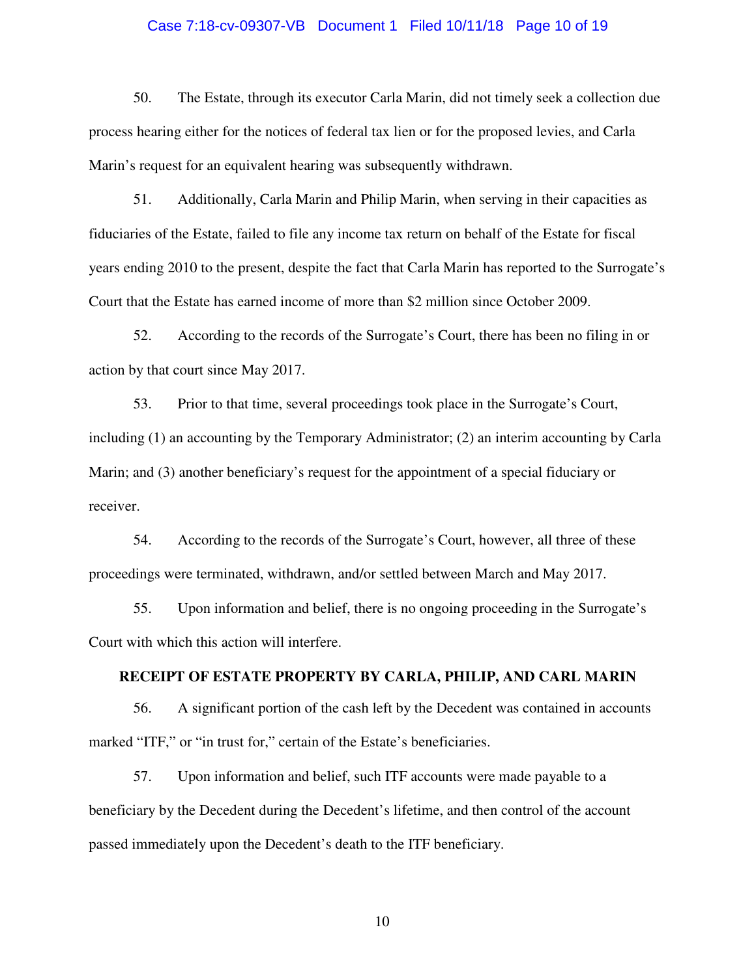## Case 7:18-cv-09307-VB Document 1 Filed 10/11/18 Page 10 of 19

50. The Estate, through its executor Carla Marin, did not timely seek a collection due process hearing either for the notices of federal tax lien or for the proposed levies, and Carla Marin's request for an equivalent hearing was subsequently withdrawn.

51. Additionally, Carla Marin and Philip Marin, when serving in their capacities as fiduciaries of the Estate, failed to file any income tax return on behalf of the Estate for fiscal years ending 2010 to the present, despite the fact that Carla Marin has reported to the Surrogate's Court that the Estate has earned income of more than \$2 million since October 2009.

52. According to the records of the Surrogate's Court, there has been no filing in or action by that court since May 2017.

53. Prior to that time, several proceedings took place in the Surrogate's Court, including (1) an accounting by the Temporary Administrator; (2) an interim accounting by Carla Marin; and (3) another beneficiary's request for the appointment of a special fiduciary or receiver.

54. According to the records of the Surrogate's Court, however, all three of these proceedings were terminated, withdrawn, and/or settled between March and May 2017.

55. Upon information and belief, there is no ongoing proceeding in the Surrogate's Court with which this action will interfere.

## **RECEIPT OF ESTATE PROPERTY BY CARLA, PHILIP, AND CARL MARIN**

56. A significant portion of the cash left by the Decedent was contained in accounts marked "ITF," or "in trust for," certain of the Estate's beneficiaries.

57. Upon information and belief, such ITF accounts were made payable to a beneficiary by the Decedent during the Decedent's lifetime, and then control of the account passed immediately upon the Decedent's death to the ITF beneficiary.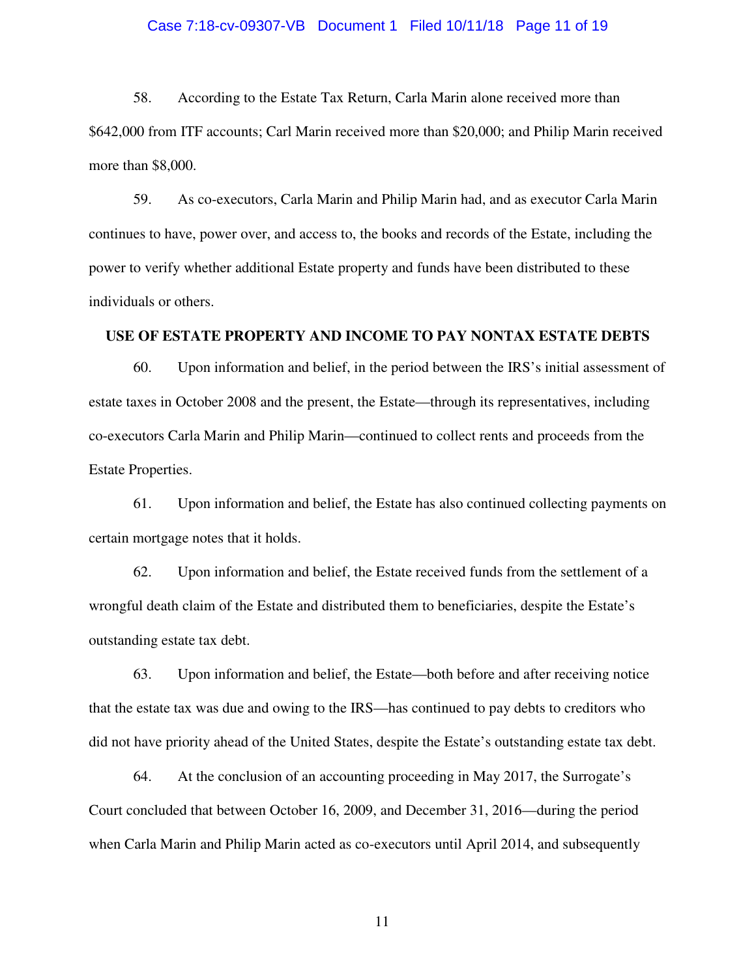# Case 7:18-cv-09307-VB Document 1 Filed 10/11/18 Page 11 of 19

58. According to the Estate Tax Return, Carla Marin alone received more than \$642,000 from ITF accounts; Carl Marin received more than \$20,000; and Philip Marin received more than \$8,000.

59. As co-executors, Carla Marin and Philip Marin had, and as executor Carla Marin continues to have, power over, and access to, the books and records of the Estate, including the power to verify whether additional Estate property and funds have been distributed to these individuals or others.

# **USE OF ESTATE PROPERTY AND INCOME TO PAY NONTAX ESTATE DEBTS**

60. Upon information and belief, in the period between the IRS's initial assessment of estate taxes in October 2008 and the present, the Estate—through its representatives, including co-executors Carla Marin and Philip Marin—continued to collect rents and proceeds from the Estate Properties.

61. Upon information and belief, the Estate has also continued collecting payments on certain mortgage notes that it holds.

62. Upon information and belief, the Estate received funds from the settlement of a wrongful death claim of the Estate and distributed them to beneficiaries, despite the Estate's outstanding estate tax debt.

63. Upon information and belief, the Estate—both before and after receiving notice that the estate tax was due and owing to the IRS—has continued to pay debts to creditors who did not have priority ahead of the United States, despite the Estate's outstanding estate tax debt.

64. At the conclusion of an accounting proceeding in May 2017, the Surrogate's Court concluded that between October 16, 2009, and December 31, 2016—during the period when Carla Marin and Philip Marin acted as co-executors until April 2014, and subsequently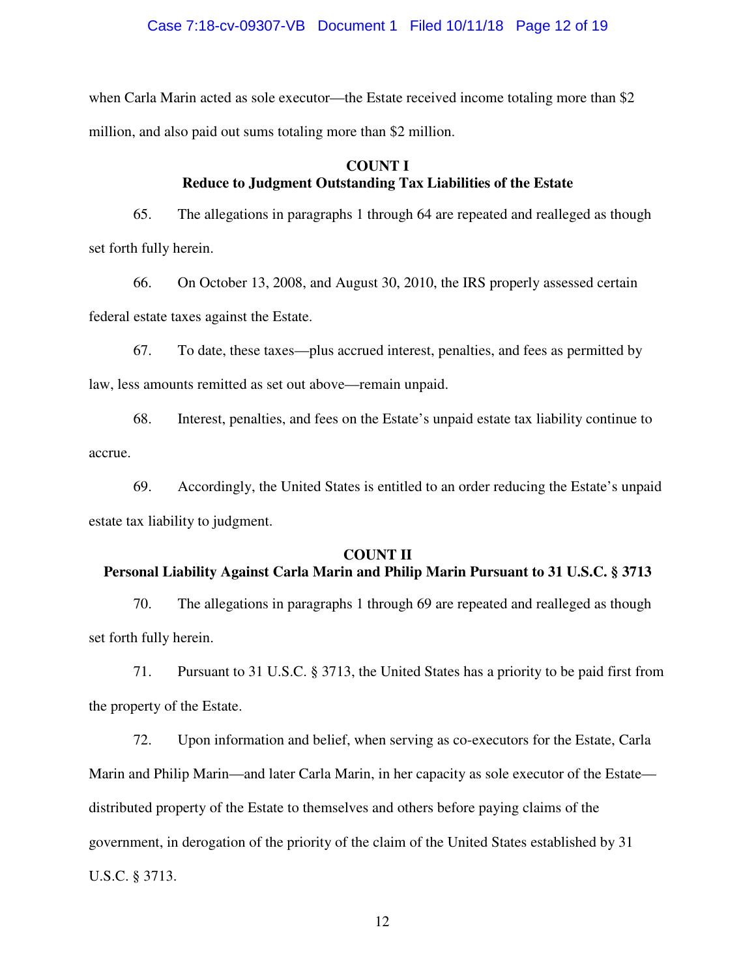## Case 7:18-cv-09307-VB Document 1 Filed 10/11/18 Page 12 of 19

when Carla Marin acted as sole executor—the Estate received income totaling more than \$2 million, and also paid out sums totaling more than \$2 million.

# **COUNT I Reduce to Judgment Outstanding Tax Liabilities of the Estate**

65. The allegations in paragraphs 1 through 64 are repeated and realleged as though set forth fully herein.

66. On October 13, 2008, and August 30, 2010, the IRS properly assessed certain federal estate taxes against the Estate.

67. To date, these taxes—plus accrued interest, penalties, and fees as permitted by law, less amounts remitted as set out above—remain unpaid.

68. Interest, penalties, and fees on the Estate's unpaid estate tax liability continue to accrue.

69. Accordingly, the United States is entitled to an order reducing the Estate's unpaid estate tax liability to judgment.

## **COUNT II**

# **Personal Liability Against Carla Marin and Philip Marin Pursuant to 31 U.S.C. § 3713**

70. The allegations in paragraphs 1 through 69 are repeated and realleged as though set forth fully herein.

71. Pursuant to 31 U.S.C. § 3713, the United States has a priority to be paid first from the property of the Estate.

72. Upon information and belief, when serving as co-executors for the Estate, Carla Marin and Philip Marin—and later Carla Marin, in her capacity as sole executor of the Estate distributed property of the Estate to themselves and others before paying claims of the government, in derogation of the priority of the claim of the United States established by 31 U.S.C. § 3713.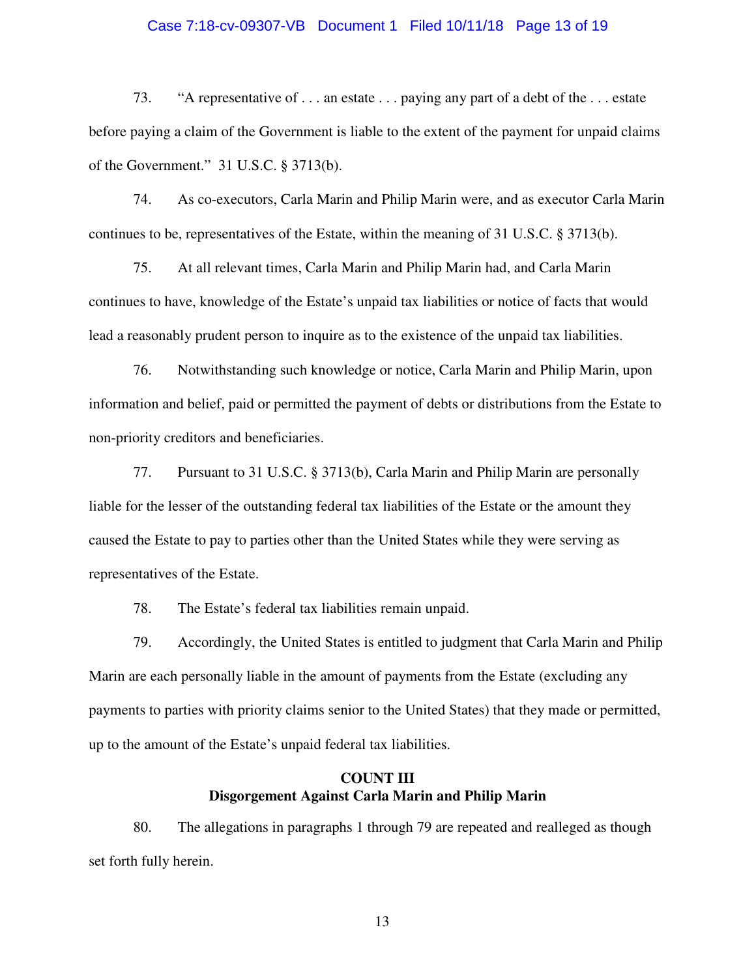#### Case 7:18-cv-09307-VB Document 1 Filed 10/11/18 Page 13 of 19

73. "A representative of . . . an estate . . . paying any part of a debt of the . . . estate before paying a claim of the Government is liable to the extent of the payment for unpaid claims of the Government." 31 U.S.C. § 3713(b).

74. As co-executors, Carla Marin and Philip Marin were, and as executor Carla Marin continues to be, representatives of the Estate, within the meaning of 31 U.S.C. § 3713(b).

75. At all relevant times, Carla Marin and Philip Marin had, and Carla Marin continues to have, knowledge of the Estate's unpaid tax liabilities or notice of facts that would lead a reasonably prudent person to inquire as to the existence of the unpaid tax liabilities.

76. Notwithstanding such knowledge or notice, Carla Marin and Philip Marin, upon information and belief, paid or permitted the payment of debts or distributions from the Estate to non-priority creditors and beneficiaries.

77. Pursuant to 31 U.S.C. § 3713(b), Carla Marin and Philip Marin are personally liable for the lesser of the outstanding federal tax liabilities of the Estate or the amount they caused the Estate to pay to parties other than the United States while they were serving as representatives of the Estate.

78. The Estate's federal tax liabilities remain unpaid.

79. Accordingly, the United States is entitled to judgment that Carla Marin and Philip Marin are each personally liable in the amount of payments from the Estate (excluding any payments to parties with priority claims senior to the United States) that they made or permitted, up to the amount of the Estate's unpaid federal tax liabilities.

# **COUNT III Disgorgement Against Carla Marin and Philip Marin**

80. The allegations in paragraphs 1 through 79 are repeated and realleged as though set forth fully herein.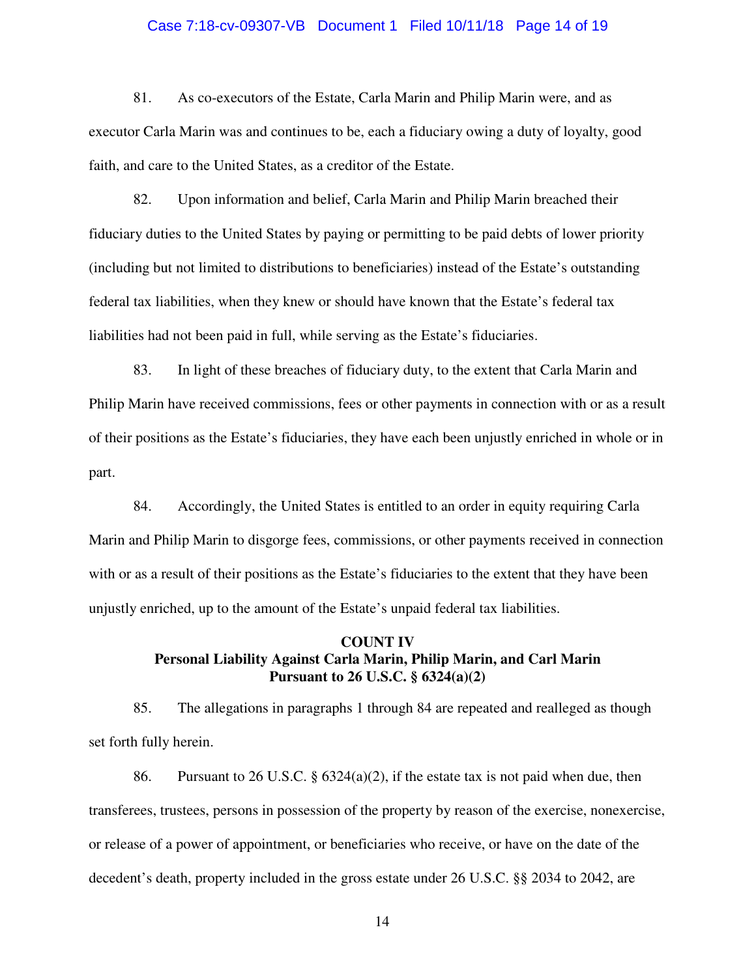#### Case 7:18-cv-09307-VB Document 1 Filed 10/11/18 Page 14 of 19

81. As co-executors of the Estate, Carla Marin and Philip Marin were, and as executor Carla Marin was and continues to be, each a fiduciary owing a duty of loyalty, good faith, and care to the United States, as a creditor of the Estate.

82. Upon information and belief, Carla Marin and Philip Marin breached their fiduciary duties to the United States by paying or permitting to be paid debts of lower priority (including but not limited to distributions to beneficiaries) instead of the Estate's outstanding federal tax liabilities, when they knew or should have known that the Estate's federal tax liabilities had not been paid in full, while serving as the Estate's fiduciaries.

83. In light of these breaches of fiduciary duty, to the extent that Carla Marin and Philip Marin have received commissions, fees or other payments in connection with or as a result of their positions as the Estate's fiduciaries, they have each been unjustly enriched in whole or in part.

84. Accordingly, the United States is entitled to an order in equity requiring Carla Marin and Philip Marin to disgorge fees, commissions, or other payments received in connection with or as a result of their positions as the Estate's fiduciaries to the extent that they have been unjustly enriched, up to the amount of the Estate's unpaid federal tax liabilities.

## **COUNT IV Personal Liability Against Carla Marin, Philip Marin, and Carl Marin Pursuant to 26 U.S.C. § 6324(a)(2)**

85. The allegations in paragraphs 1 through 84 are repeated and realleged as though set forth fully herein.

86. Pursuant to 26 U.S.C. § 6324(a)(2), if the estate tax is not paid when due, then transferees, trustees, persons in possession of the property by reason of the exercise, nonexercise, or release of a power of appointment, or beneficiaries who receive, or have on the date of the decedent's death, property included in the gross estate under 26 U.S.C. §§ 2034 to 2042, are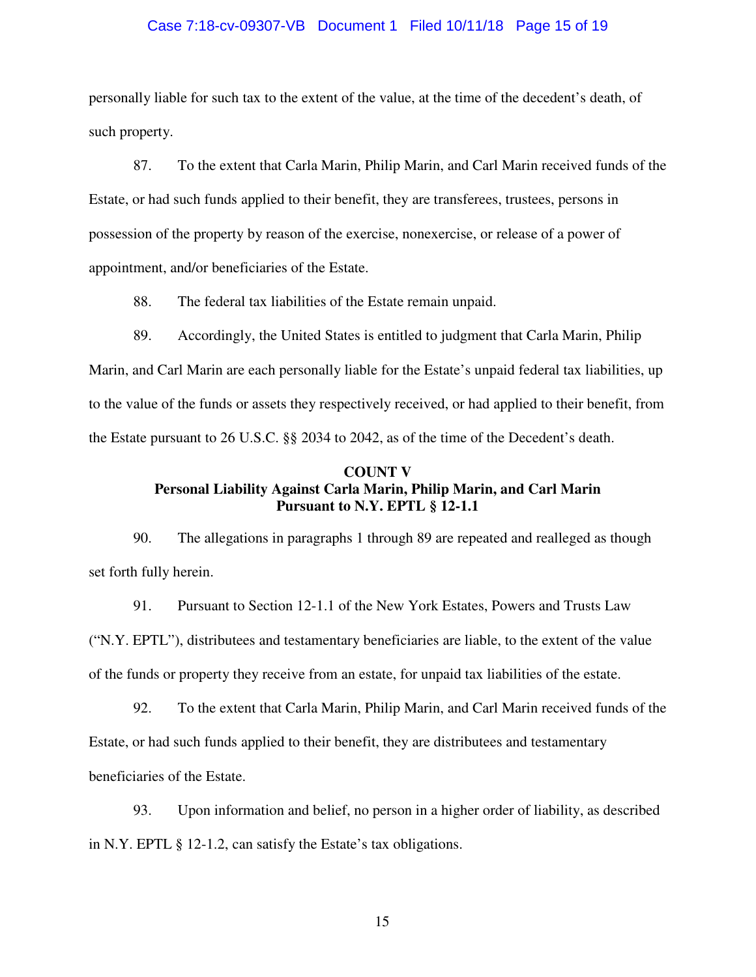## Case 7:18-cv-09307-VB Document 1 Filed 10/11/18 Page 15 of 19

personally liable for such tax to the extent of the value, at the time of the decedent's death, of such property.

87. To the extent that Carla Marin, Philip Marin, and Carl Marin received funds of the Estate, or had such funds applied to their benefit, they are transferees, trustees, persons in possession of the property by reason of the exercise, nonexercise, or release of a power of appointment, and/or beneficiaries of the Estate.

88. The federal tax liabilities of the Estate remain unpaid.

89. Accordingly, the United States is entitled to judgment that Carla Marin, Philip Marin, and Carl Marin are each personally liable for the Estate's unpaid federal tax liabilities, up to the value of the funds or assets they respectively received, or had applied to their benefit, from the Estate pursuant to 26 U.S.C. §§ 2034 to 2042, as of the time of the Decedent's death.

## **COUNT V Personal Liability Against Carla Marin, Philip Marin, and Carl Marin Pursuant to N.Y. EPTL § 12-1.1**

90. The allegations in paragraphs 1 through 89 are repeated and realleged as though set forth fully herein.

91. Pursuant to Section 12-1.1 of the New York Estates, Powers and Trusts Law ("N.Y. EPTL"), distributees and testamentary beneficiaries are liable, to the extent of the value of the funds or property they receive from an estate, for unpaid tax liabilities of the estate.

92. To the extent that Carla Marin, Philip Marin, and Carl Marin received funds of the Estate, or had such funds applied to their benefit, they are distributees and testamentary beneficiaries of the Estate.

93. Upon information and belief, no person in a higher order of liability, as described in N.Y. EPTL § 12-1.2, can satisfy the Estate's tax obligations.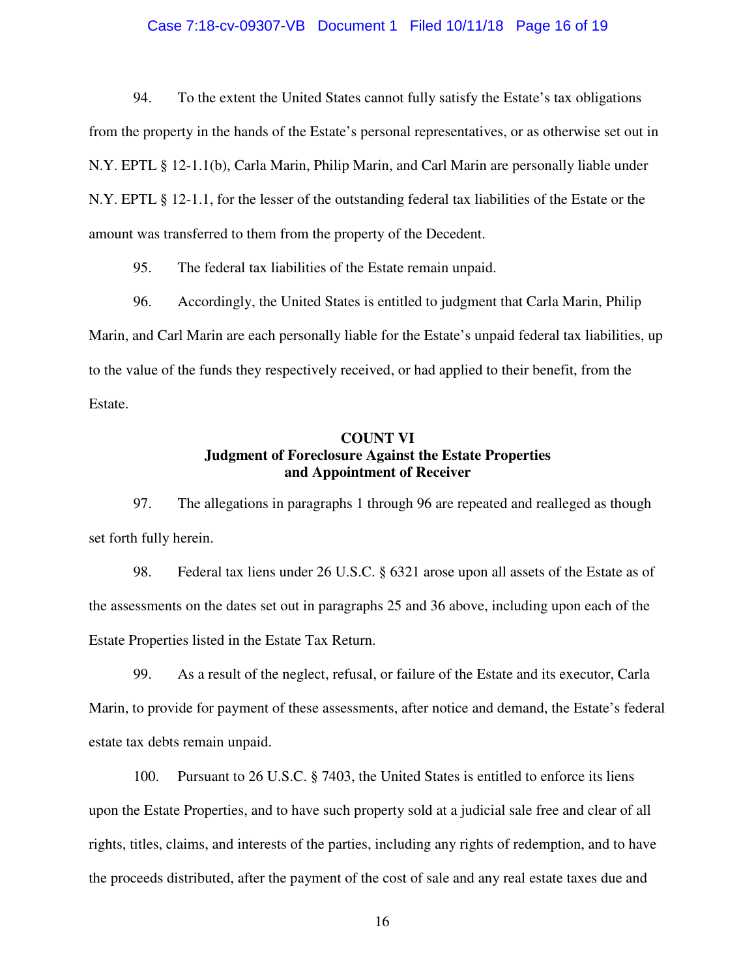# Case 7:18-cv-09307-VB Document 1 Filed 10/11/18 Page 16 of 19

94. To the extent the United States cannot fully satisfy the Estate's tax obligations from the property in the hands of the Estate's personal representatives, or as otherwise set out in N.Y. EPTL § 12-1.1(b), Carla Marin, Philip Marin, and Carl Marin are personally liable under N.Y. EPTL § 12-1.1, for the lesser of the outstanding federal tax liabilities of the Estate or the amount was transferred to them from the property of the Decedent.

95. The federal tax liabilities of the Estate remain unpaid.

96. Accordingly, the United States is entitled to judgment that Carla Marin, Philip Marin, and Carl Marin are each personally liable for the Estate's unpaid federal tax liabilities, up to the value of the funds they respectively received, or had applied to their benefit, from the Estate.

## **COUNT VI Judgment of Foreclosure Against the Estate Properties and Appointment of Receiver**

97. The allegations in paragraphs 1 through 96 are repeated and realleged as though set forth fully herein.

98. Federal tax liens under 26 U.S.C. § 6321 arose upon all assets of the Estate as of the assessments on the dates set out in paragraphs 25 and 36 above, including upon each of the Estate Properties listed in the Estate Tax Return.

99. As a result of the neglect, refusal, or failure of the Estate and its executor, Carla Marin, to provide for payment of these assessments, after notice and demand, the Estate's federal estate tax debts remain unpaid.

100. Pursuant to 26 U.S.C. § 7403, the United States is entitled to enforce its liens upon the Estate Properties, and to have such property sold at a judicial sale free and clear of all rights, titles, claims, and interests of the parties, including any rights of redemption, and to have the proceeds distributed, after the payment of the cost of sale and any real estate taxes due and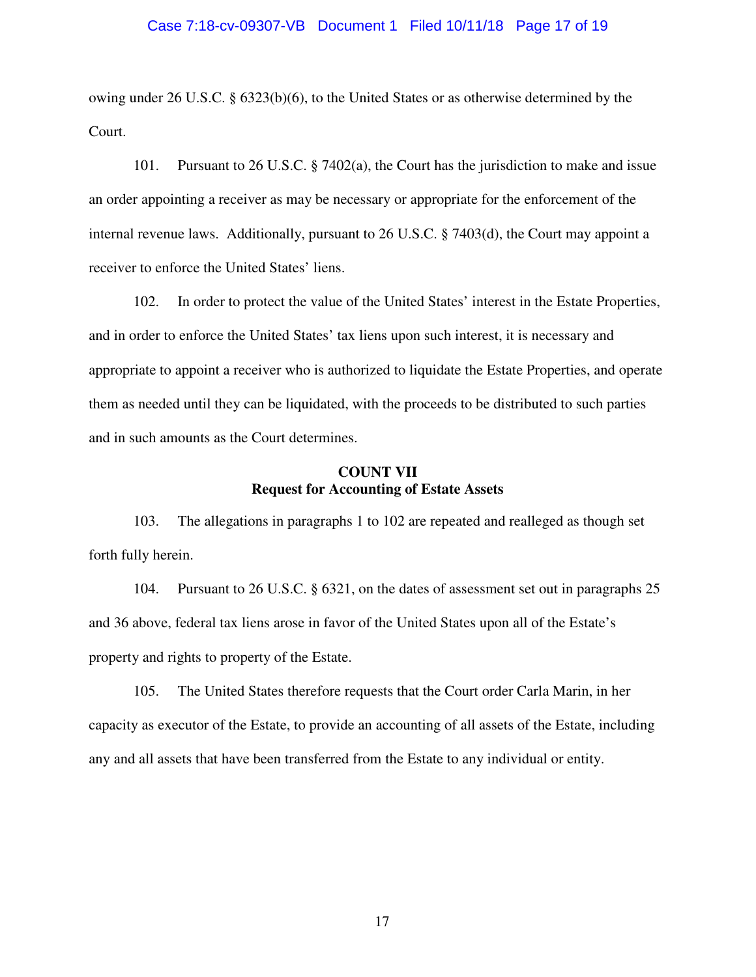## Case 7:18-cv-09307-VB Document 1 Filed 10/11/18 Page 17 of 19

owing under 26 U.S.C. § 6323(b)(6), to the United States or as otherwise determined by the Court.

101. Pursuant to 26 U.S.C. § 7402(a), the Court has the jurisdiction to make and issue an order appointing a receiver as may be necessary or appropriate for the enforcement of the internal revenue laws. Additionally, pursuant to 26 U.S.C. § 7403(d), the Court may appoint a receiver to enforce the United States' liens.

102. In order to protect the value of the United States' interest in the Estate Properties, and in order to enforce the United States' tax liens upon such interest, it is necessary and appropriate to appoint a receiver who is authorized to liquidate the Estate Properties, and operate them as needed until they can be liquidated, with the proceeds to be distributed to such parties and in such amounts as the Court determines.

## **COUNT VII Request for Accounting of Estate Assets**

103. The allegations in paragraphs 1 to 102 are repeated and realleged as though set forth fully herein.

104. Pursuant to 26 U.S.C. § 6321, on the dates of assessment set out in paragraphs 25 and 36 above, federal tax liens arose in favor of the United States upon all of the Estate's property and rights to property of the Estate.

105. The United States therefore requests that the Court order Carla Marin, in her capacity as executor of the Estate, to provide an accounting of all assets of the Estate, including any and all assets that have been transferred from the Estate to any individual or entity.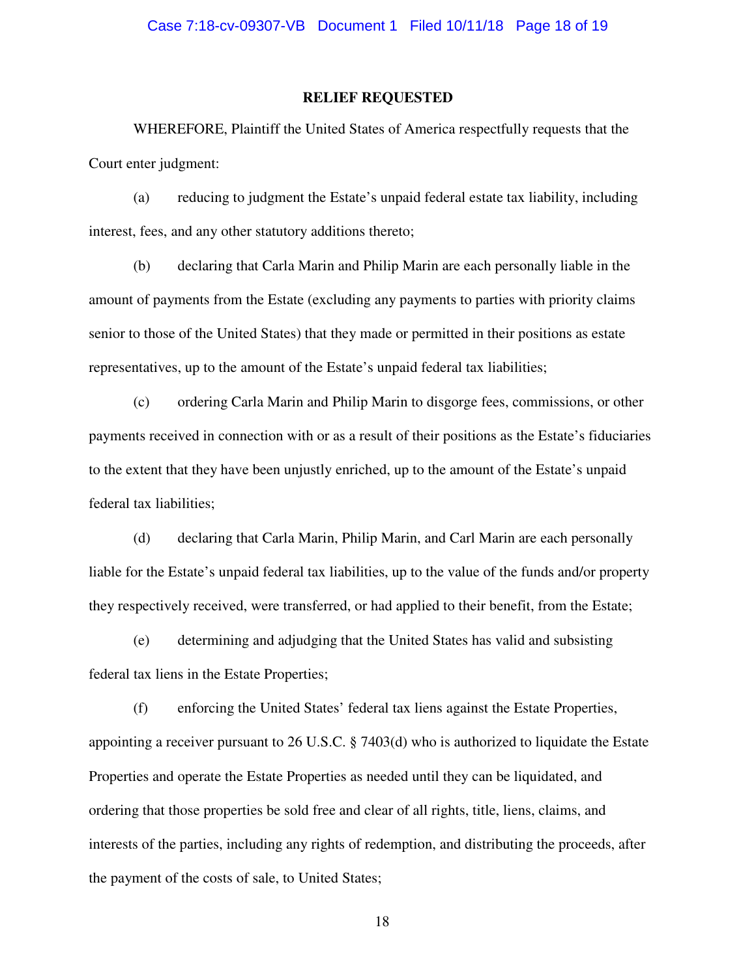## **RELIEF REQUESTED**

WHEREFORE, Plaintiff the United States of America respectfully requests that the Court enter judgment:

(a) reducing to judgment the Estate's unpaid federal estate tax liability, including interest, fees, and any other statutory additions thereto;

(b) declaring that Carla Marin and Philip Marin are each personally liable in the amount of payments from the Estate (excluding any payments to parties with priority claims senior to those of the United States) that they made or permitted in their positions as estate representatives, up to the amount of the Estate's unpaid federal tax liabilities;

(c) ordering Carla Marin and Philip Marin to disgorge fees, commissions, or other payments received in connection with or as a result of their positions as the Estate's fiduciaries to the extent that they have been unjustly enriched, up to the amount of the Estate's unpaid federal tax liabilities;

(d) declaring that Carla Marin, Philip Marin, and Carl Marin are each personally liable for the Estate's unpaid federal tax liabilities, up to the value of the funds and/or property they respectively received, were transferred, or had applied to their benefit, from the Estate;

(e) determining and adjudging that the United States has valid and subsisting federal tax liens in the Estate Properties;

(f) enforcing the United States' federal tax liens against the Estate Properties, appointing a receiver pursuant to 26 U.S.C. § 7403(d) who is authorized to liquidate the Estate Properties and operate the Estate Properties as needed until they can be liquidated, and ordering that those properties be sold free and clear of all rights, title, liens, claims, and interests of the parties, including any rights of redemption, and distributing the proceeds, after the payment of the costs of sale, to United States;